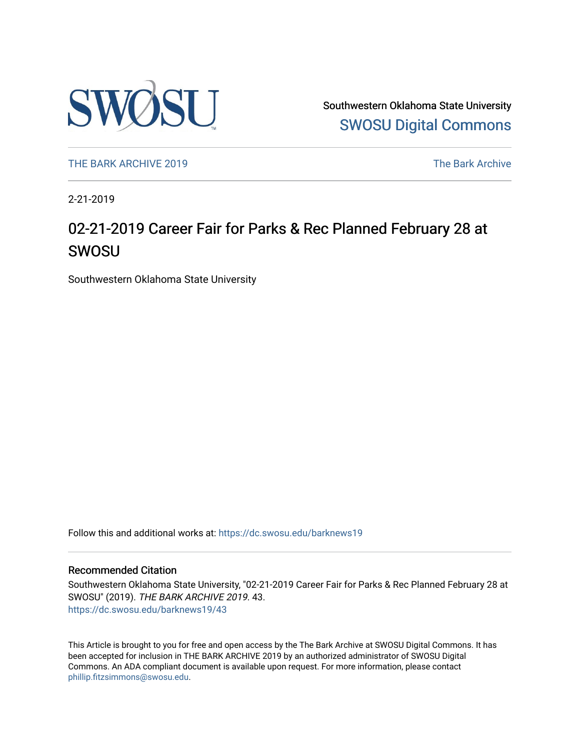

Southwestern Oklahoma State University [SWOSU Digital Commons](https://dc.swosu.edu/) 

[THE BARK ARCHIVE 2019](https://dc.swosu.edu/barknews19) The Bark Archive

2-21-2019

### 02-21-2019 Career Fair for Parks & Rec Planned February 28 at SWOSU

Southwestern Oklahoma State University

Follow this and additional works at: [https://dc.swosu.edu/barknews19](https://dc.swosu.edu/barknews19?utm_source=dc.swosu.edu%2Fbarknews19%2F43&utm_medium=PDF&utm_campaign=PDFCoverPages)

#### Recommended Citation

Southwestern Oklahoma State University, "02-21-2019 Career Fair for Parks & Rec Planned February 28 at SWOSU" (2019). THE BARK ARCHIVE 2019. 43. [https://dc.swosu.edu/barknews19/43](https://dc.swosu.edu/barknews19/43?utm_source=dc.swosu.edu%2Fbarknews19%2F43&utm_medium=PDF&utm_campaign=PDFCoverPages) 

This Article is brought to you for free and open access by the The Bark Archive at SWOSU Digital Commons. It has been accepted for inclusion in THE BARK ARCHIVE 2019 by an authorized administrator of SWOSU Digital Commons. An ADA compliant document is available upon request. For more information, please contact [phillip.fitzsimmons@swosu.edu](mailto:phillip.fitzsimmons@swosu.edu).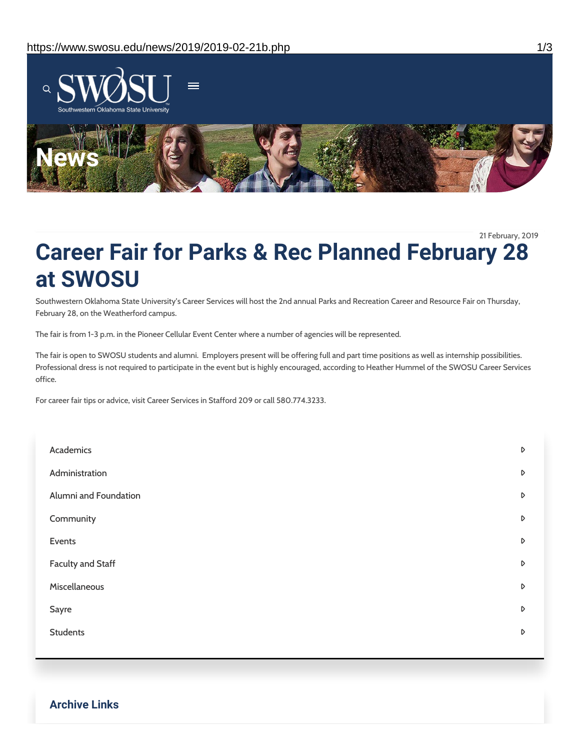

21 February, 2019

## **Career Fair for Parks & Rec Planned February 28 at SWOSU**

Southwestern Oklahoma State University's Career Services will host the 2nd annual Parks and Recreation Career and Resource Fair on Thursday, February 28, on the Weatherford campus.

The fair is from 1-3 p.m. in the Pioneer Cellular Event Center where a number of agencies will be represented.

The fair is open to SWOSU students and alumni. Employers present will be offering full and part time positions as well as internship possibilities. Professional dress is not required to participate in the event but is highly encouraged, according to Heather Hummel of the SWOSU Career Services office.

For career fair tips or advice, visit Career Services in Stafford 209 or call 580.774.3233.

| Academics                | D                |
|--------------------------|------------------|
| Administration           | D                |
| Alumni and Foundation    | $\mathsf D$      |
| Community                | $\mathsf D$      |
| Events                   | $\mathsf D$      |
| <b>Faculty and Staff</b> | D                |
| Miscellaneous            | D                |
| Sayre                    | $\mathsf D$      |
| <b>Students</b>          | $\triangleright$ |
|                          |                  |

**Archive Links**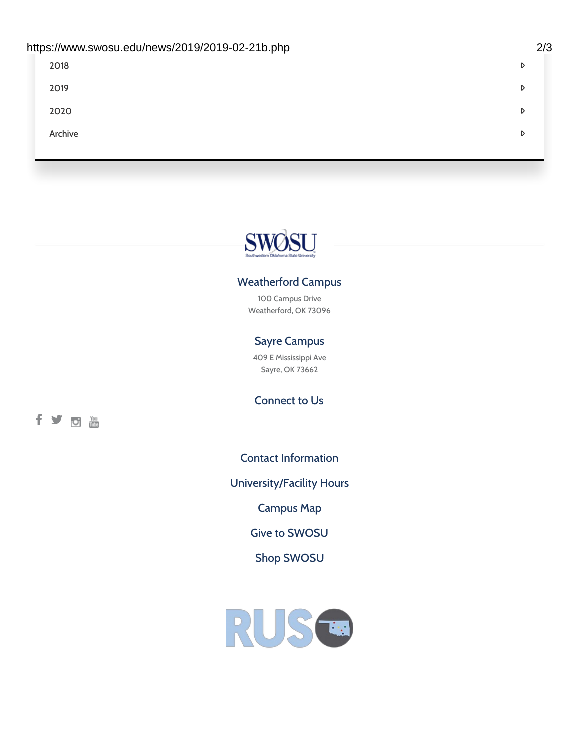| 2018    | D |
|---------|---|
| 2019    | D |
| 2020    | D |
| Archive | D |
|         |   |

# SWØSU

### Weatherford Campus

100 Campus Drive Weatherford, OK 73096

### Sayre Campus

409 E Mississippi Ave Sayre, OK 73662

fyom

Connect to Us

Contact [Information](https://www.swosu.edu/about/contact.php)

[University/Facility](https://www.swosu.edu/about/operating-hours.php) Hours

[Campus](https://map.concept3d.com/?id=768#!ct/10964,10214,10213,10212,10205,10204,10203,10202,10136,10129,10128,0,31226,10130,10201,10641,0) Map

Give to [SWOSU](https://standingfirmly.com/donate)

Shop [SWOSU](https://shopswosu.merchorders.com/)